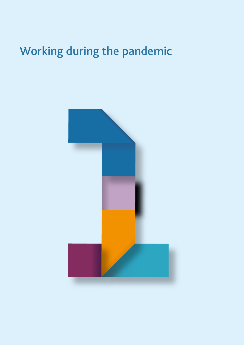# Working during the pandemic

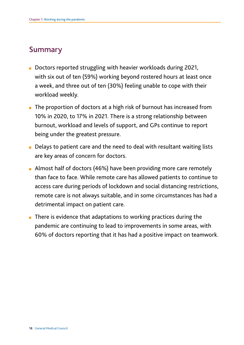## Summary

- Doctors reported struggling with heavier workloads during 2021, with six out of ten (59%) working beyond rostered hours at least once a week, and three out of ten (30%) feeling unable to cope with their workload weekly.
- The proportion of doctors at a high risk of burnout has increased from 10% in 2020, to 17% in 2021. There is a strong relationship between burnout, workload and levels of support, and GPs continue to report being under the greatest pressure.
- Delays to patient care and the need to deal with resultant waiting lists are key areas of concern for doctors.
- Almost half of doctors (46%) have been providing more care remotely than face to face. While remote care has allowed patients to continue to access care during periods of lockdown and social distancing restrictions, remote care is not always suitable, and in some circumstances has had a detrimental impact on patient care.
- There is evidence that adaptations to working practices during the pandemic are continuing to lead to improvements in some areas, with 60% of doctors reporting that it has had a positive impact on teamwork.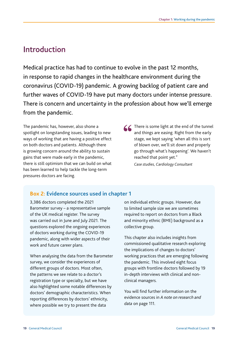## Introduction

Medical practice has had to continue to evolve in the past 12 months, in response to rapid changes in the healthcare environment during the coronavirus (COVID-19) pandemic. A growing backlog of patient care and further waves of COVID-19 have put many doctors under intense pressure. There is concern and uncertainty in the profession about how we'll emerge from the pandemic.

pressures doctors are facing. The pandemic has, however, also shone a spotlight on longstanding issues, leading to new ways of working that are having a positive effect on both doctors and patients. Although there is growing concern around the ability to sustain gains that were made early in the pandemic, there is still optimism that we can build on what has been learned to help tackle the long-term The pandemic has, however, also shone a<br>
spotlight on longstanding issues, leading to new<br>
ways of working that are having a positive effect<br>
on both doctors and patients. Although there<br>
is growing concern around the abil

and things are easing. Right from the early stage, we kept saying 'when all this is sort of blown over, we'll sit down and properly go through what's happening'. We haven't reached that point yet."

*Case studies, Cardiology Consultant* 

## **Box 2: Evidence sources used in chapter 1**

3,386 doctors completed the 2021 Barometer survey – a representative sample of the UK medical register. The survey was carried out in June and July 2021. The questions explored the ongoing experiences of doctors working during the COVID-19 pandemic, along with wider aspects of their work and future career plans.

When analysing the data from the Barometer survey, we consider the experiences of different groups of doctors. Most often, the patterns we see relate to a doctor's registration type or specialty, but we have also highlighted some notable differences by doctors' demographic characteristics. When reporting differences by doctors' ethnicity, where possible we try to present the data

on individual ethnic groups. However, due to limited sample size we are sometimes required to report on doctors from a Black and minority ethnic (BME) background as a collective group.

This chapter also includes insights from commissioned qualitative research exploring the implications of changes to doctors' working practices that are emerging following the pandemic. This involved eight focus groups with frontline doctors followed by 19 in-depth interviews with clinical and nonclinical managers.

You will find further information on the evidence sources in *A note on research and data* on page 111.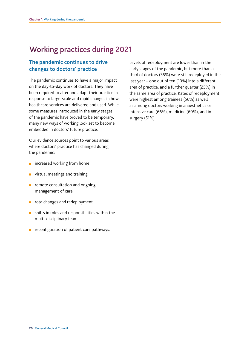## Working practices during 2021

## **The pandemic continues to drive changes to doctors' practice**

The pandemic continues to have a major impact on the day-to-day work of doctors. They have been required to alter and adapt their practice in response to large-scale and rapid changes in how healthcare services are delivered and used. While some measures introduced in the early stages of the pandemic have proved to be temporary, many new ways of working look set to become embedded in doctors' future practice.

Our evidence sources point to various areas where doctors' practice has changed during the pandemic:

- $\mathcal{L}_{\mathcal{A}}$ increased working from home
- virtual meetings and training
- remote consultation and ongoing management of care
- rota changes and redeployment
- shifts in roles and responsibilities within the multi-disciplinary team
- reconfiguration of patient care pathways.

Levels of redeployment are lower than in the early stages of the pandemic, but more than a third of doctors (35%) were still redeployed in the last year – one out of ten (10%) into a different area of practice, and a further quarter (25%) in the same area of practice. Rates of redeployment were highest among trainees (56%) as well as among doctors working in anaesthetics or intensive care (66%), medicine (60%), and in surgery (51%).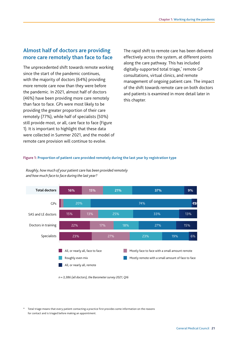## **Almost half of doctors are providing** The rapid shift to remote care has been delivered **more care remotely than face to face**

The unprecedented shift towards remote working since the start of the pandemic continues, with the majority of doctors (64%) providing more remote care now than they were before the pandemic. In 2021, almost half of doctors (46%) have been providing more care remotely than face to face. GPs were most likely to be providing the greater proportion of their care remotely (77%), while half of specialists (50%) still provide most, or all, care face to face (Figure 1). It is important to highlight that these data were collected in Summer 2021, and the model of remote care provision will continue to evolve.

effectively across the system, at different points along the care pathway. This has included digitally-supported total triage,\* remote GP consultations, virtual clinics, and remote management of ongoing patient care. The impact of the shift towards remote care on both doctors and patients is examined in more detail later in this chapter.

#### **Figure 1: Proportion of patient care provided remotely during the last year by registration type**



*Roughly, how much of your patient care has been provided remotely and how much face to face during the last year* 

*n = 3,386 (all doctors), the Barometer survey 2021, QI6* 

\* Total triage means that every patient contacting a practice first provides some information on the reasons for contact and is triaged before making an appointment.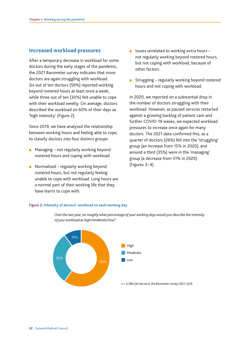After a temporary decrease in workload for some doctors during the early stages of the pandemic, the 2021 Barometer survey indicates that more doctors are again struggling with workload. Six out of ten doctors (59%) reported working beyond rostered hours at least once a week, while three out of ten (30%) felt unable to cope with their workload weekly. On average, doctors described the workload on 60% of their days as 'high intensity' (Figure 2).

Since 2019, we have analysed the relationship between working hours and feeling able to cope, to classify doctors into four distinct groups:

- Managing not regularly working beyond rostered hours and coping with workload.
- Normalised regularly working beyond rostered hours, but not regularly feeling unable to cope with workload. Long hours are a normal part of their working life that they have learnt to cope with.
- **Increased workload pressures** Issues unrelated to working extra hours not regularly working beyond rostered hours, but not coping with workload, because of other factors.
	- Struggling regularly working beyond rostered hours and not coping with workload.

In 2020, we reported on a substantial drop in the number of doctors struggling with their workload. However, as paused services restarted against a growing backlog of patient care and further COVID-19 waves, we expected workload pressures to increase once again for many doctors. The 2021 data confirmed this, as a quarter of doctors (26%) fell into the 'struggling' group (an increase from 15% in 2020), and around a third (35%) were in the 'managing' group (a decrease from 51% in 2020) (Figures 3–4).

#### **Figure 2: Intensity of doctors' workload on each working day**



*Over the last year, on roughly what percentage of your working days would you describe the intensity of your workload as high moderate low?*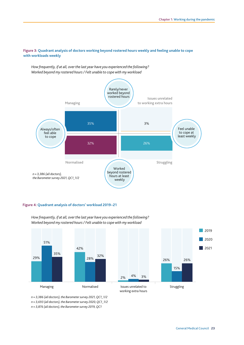**Figure 3: Quadrant analysis of doctors working beyond rostered hours weekly and feeling unable to cope with workloads weekly** 



*How frequently, if at all, over the last year have you experienced the following Worked beyond my rostered hours / Felt unable to cope with my workload* 

#### **Figure 4: Quadrant analysis of doctors' workload 2019–21**



*How frequently, if at all, over the last year have you experienced the following? Worked beyond my rostered hours / Felt unable to cope with my workload* 

*n = 3,386 (all doctors), the Barometer survey 0 1, QC1\_1/ n* = 3,693 (all doctors), the Barometer survey 2020, QC1\_1/2  $n = 3,876$  (all doctors), the Barometer survey 2019, QC1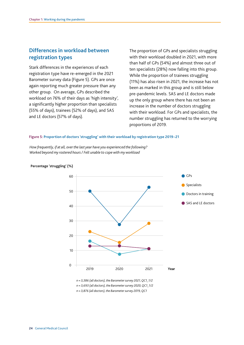## **Differences in workload between registration types**

Stark differences in the experiences of each registration type have re-emerged in the 2021 Barometer survey data (Figure 5). GPs are once again reporting much greater pressure than any other group. On average, GPs described the workload on 76% of their days as 'high intensity', a signifcantly higher proportion than specialists (55% of days), trainees (52% of days), and SAS and LE doctors (57% of days).

The proportion of GPs and specialists struggling with their workload doubled in 2021, with more than half of GPs (54%) and almost three out of ten specialists (28%) now falling into this group. While the proportion of trainees struggling (11%) has also risen in 2021, the increase has not been as marked in this group and is still below pre-pandemic levels. SAS and LE doctors made up the only group where there has not been an increase in the number of doctors struggling with their workload. For GPs and specialists, the number struggling has returned to the worrying proportions of 2019.

#### **Figure 5: Proportion of doctors 'struggling' with their workload by registration type 2019–21**

*How frequently, if at all, over the last year have you experienced the following? Worked beyond my rostered hours / Felt unable to cope with my workload* 



#### **Percentage 'struggling' (%)**

*n* = 3,386 (all doctors), the Barometer survey 2021, QC1\_1/2 *n = 3,693 (all doctors), the Barometer survey 0 0, QC1\_1/ n = 3,876 (all doctors), the Barometer survey 019, QC1*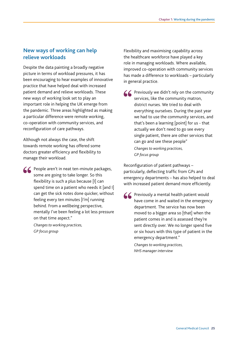## **New ways of working can help relieve workloads**

Despite the data painting a broadly negative picture in terms of workload pressures, it has been encouraging to hear examples of innovative practice that have helped deal with increased patient demand and relieve workloads. These new ways of working look set to play an important role in helping the UK emerge from the pandemic. Three areas highlighted as making a particular difference were remote working, co-operation with community services, and reconfiguration of care pathways.

Although not always the case, the shift towards remote working has offered some doctors greater efficiency and flexibility to manage their workload.

 $\triangle$  People aren't in neat ten-minute packages, some are going to take longer. So this fexibility is such a plus because [I] can spend time on a patient who needs it [and I] can get the sick notes done quicker, without feeling every ten minutes [I'm] running behind. From a wellbeing perspective, mentally I've been feeling a lot less pressure on that time aspect."

> *Changes to working practices, GP focus group*

Flexibility and maximising capability across the healthcare workforce have played a key role in managing workloads. Where available, improved co-operation with community services has made a difference to workloads – particularly in general practice.

 $\angle$  Previously we didn't rely on the community services, like the community matron, district nurses. We tried to deal with everything ourselves. During the past year we had to use the community services, and that's been a learning [point] for us - that actually we don't need to go see every single patient, there are other services that can go and see these people"

*Changes to working practices, GP focus group* 

Reconfiguration of patient pathways particularly, deflecting traffic from GPs and emergency departments – has also helped to deal with increased patient demand more efficiently.

 $\leq$  Previously a mental health patient would have come in and waited in the emergency department. The service has now been moved to a bigger area so [that] when the patient comes in and is assessed they're sent directly over. We no longer spend five or six hours with this type of patient in the emergency department."

> *Changes to working practices, NHS manager interview*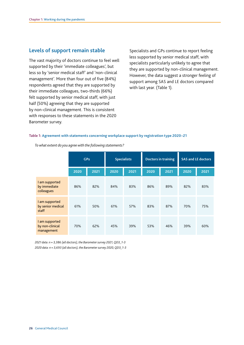The vast majority of doctors continue to feel well supported by their 'immediate colleagues', but less so by 'senior medical staff' and 'non-clinical management'. More than four out of five (84%) respondents agreed that they are supported by their immediate colleagues, two-thirds (66%) felt supported by senior medical staff, with just half (50%) agreeing that they are supported by non-clinical management. This is consistent with responses to these statements in the 2020 Barometer survey.

**Levels of support remain stable** Specialists and GPs continue to report feeling less supported by senior medical staff, with specialists particularly unlikely to agree that they are supported by non-clinical management. However, the data suggest a stronger feeling of support among SAS and LE doctors compared with last year. (Table 1).

#### **Table 1: Agreement with statements concerning workplace support by registration type 2020–21**

|                                                 | <b>GPs</b> |      | <b>Specialists</b> |      | <b>Doctors in training</b> |      | <b>SAS and LE doctors</b> |      |
|-------------------------------------------------|------------|------|--------------------|------|----------------------------|------|---------------------------|------|
|                                                 | 2020       | 2021 | 2020               | 2021 | 2020                       | 2021 | 2020                      | 2021 |
| I am supported<br>by immediate<br>colleagues    | 86%        | 82%  | 84%                | 83%  | 86%                        | 89%  | 82%                       | 83%  |
| I am supported<br>by senior medical<br>staff    | 61%        | 50%  | 61%                | 57%  | 83%                        | 87%  | 70%                       | 75%  |
| I am supported<br>by non-clinical<br>management | 70%        | 62%  | 45%                | 39%  | 53%                        | 46%  | 39%                       | 60%  |

*To what extent do you agree with the following statements?* 

*2021 data: n = 3,386 (all doctors), the Barometer survey 2021, QD3\_1-3 2020 data: n = 3,693 (all doctors), the Barometer survey 2020, QD3\_1-3*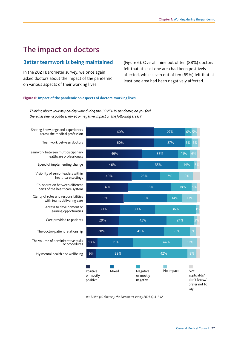## The impact on doctors

### **Better teamwork is being maintained** (Figure 6). Overall, nine out of ten (88%) doctors

In the 2021 Barometer survey, we once again felt that at least one area had been positively<br>affected, while seven out of ten (69%) felt that at<br>on various aspects of their working lives<br>asked doctors about the impact of th

#### **Figure 6: Impact of the pandemic on aspects of doctors' working lives**

*Thinking about your day-to-day work during the COVID-19 pandemic, do you feel there has been a positive, mixed or negative impact on the following areas?* 



*n* = 3,386 (all doctors), the Barometer survey 2021, QI3\_1-12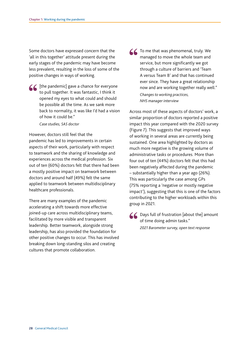Some doctors have expressed concern that the 'all in this together' attitude present during the early stages of the pandemic may have become less prevalent, resulting in the loss of some of the positive changes in ways of working.

 $\leq$  [the pandemic] gave a chance for everyone to pull together. It was fantastic, I think it opened my eyes to what could and should be possible all the time. As we sank more back to normality, it was like I'd had a vision of how it could be."

*Case studies, SAS doctor* 

However, doctors still feel that the pandemic has led to improvements in certain aspects of their work, particularly with respect to teamwork and the sharing of knowledge and experiences across the medical profession. Six out of ten (60%) doctors felt that there had been a mostly positive impact on teamwork between doctors and around half (49%) felt the same applied to teamwork between multidisciplinary healthcare professionals.

There are many examples of the pandemic accelerating a shift towards more effective joined-up care across multidisciplinary teams, facilitated by more visible and transparent leadership. Better teamwork, alongside strong leadership, has also provided the foundation for other positive changes to occur. This has involved breaking down long-standing silos and creating cultures that promote collaboration.

 $\leq$  To me that was phenomenal, truly. We managed to move the whole team and service, but more significantly we got through a culture of barriers and 'Team A versus Team B' and that has continued ever since. They have a great relationship now and are working together really well." *Changes to working practices, NHS manager interview* 

Across most of these aspects of doctors' work, a similar proportion of doctors reported a positive impact this year compared with the 2020 survey (Figure 7). This suggests that improved ways of working in several areas are currently being sustained. One area highlighted by doctors as much more negative is the growing volume of administrative tasks or procedures. More than four out of ten (44%) doctors felt that this had been negatively affected during the pandemic – substantially higher than a year ago (26%). This was particularly the case among GPs (75% reporting a 'negative or mostly negative impact'), suggesting that this is one of the factors contributing to the higher workloads within this group in 2021.

 $\leq$  Days full of frustration [about the] amount of time doing admin tasks." *2021 Barometer survey, open text response*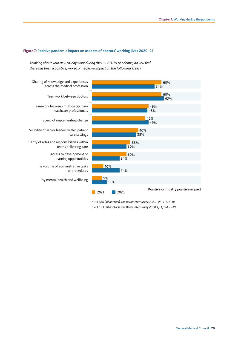#### **Figure 7: Positive pandemic impact on aspects of doctors' working lives 2020–21**

*Thinking about your day-to-day work during the COVID-19 pandemic, do you feel there has been a positive, mixed or negative impact on the following areas?* 



*n = 3,386 (all doctors), the Barometer survey 0 1, QI3\_1–5, 7–10* 

*n = 3,693 (all doctors), the Barometer survey 0 0, QI3\_1–4, 6–10*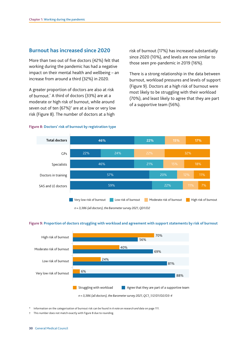### **Burnout has increased since 2020**

More than two out of five doctors (42%) felt that working during the pandemic has had a negative impact on their mental health and wellbeing – an increase from around a third (32%) in 2020.

A greater proportion of doctors are also at risk of burnout.\* A third of doctors (33%) are at a moderate or high risk of burnout, while around seven out of ten  $(67%)$ <sup>†</sup> are at a low or very low risk (Figure 8). The number of doctors at a high

 those seen pre-pandemic in 2019 (16%). risk of burnout (17%) has increased substantially since 2020 (10%), and levels are now similar to

There is a strong relationship in the data between burnout, workload pressures and levels of support (Figure 9). Doctors at a high risk of burnout were most likely to be struggling with their workload (70%), and least likely to agree that they are part of a supportive team (56%).

#### **Figure 8: Doctors' risk of burnout by registration type**



*n* = 3,386 (all doctors), the Barometer survey 2021, QD1/D2

#### **Figure 9: Proportion of doctors struggling with workload and agreement with support statements by risk of burnout**



Information on the categorisation of burnout risk can be found in *A note on research and data* on page 111.

† This number does not match exactly with Figure 8 due to rounding.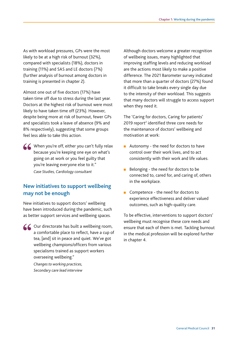As with workload pressures, GPs were the most likely to be at a high risk of burnout (32%), compared with specialists (18%), doctors in training (11%) and SAS and LE doctors (7%) (further analysis of burnout among doctors in training is presented in chapter 2).

Almost one out of five doctors (17%) have taken time off due to stress during the last year. Doctors at the highest risk of burnout were most likely to have taken time off (23%). However, despite being more at risk of burnout, fewer GPs and specialists took a leave of absence (9% and 8% respectively), suggesting that some groups feel less able to take this action.

When you're off, either you can't fully relax because you're keeping one eye on what's going on at work or you feel guilty that you're leaving everyone else to it." *Case Studies, Cardiology consultant* 

## **New initiatives to support wellbeing may not be enough**

New initiatives to support doctors' wellbeing have been introduced during the pandemic, such as better support services and wellbeing spaces.

 overseeing wellbeing."  $\Delta$  Our directorate has built a wellbeing room, a comfortable place to reflect, have a cup of tea, [and] sit in peace and quiet. We've got wellbeing champions/officers from various specialisms trained as support workers

> *Changes to working practices, Secondary care lead interview*

when they need it. Although doctors welcome a greater recognition of wellbeing issues, many highlighted that improving staffing levels and reducing workload are the actions most likely to make a positive difference. The 2021 Barometer survey indicated that more than a quarter of doctors (27%) found it difficult to take breaks every single day due to the intensity of their workload. This suggests that many doctors will struggle to access support

The 'Caring for doctors, Caring for patients' 2019 report<sup>2</sup> identified three core needs for the maintenance of doctors' wellbeing and motivation at work:

- $\mathbf{r}$ Autonomy - the need for doctors to have control over their work lives, and to act consistently with their work and life values.
- Belonging the need for doctors to be connected to, cared for, and caring of, others in the workplace.
- $\overline{a}$ Competence - the need for doctors to experience effectiveness and deliver valued outcomes, such as high-quality care.

To be effective, interventions to support doctors' wellbeing must recognise these core needs and ensure that each of them is met. Tackling burnout in the medical profession will be explored further in chapter 4.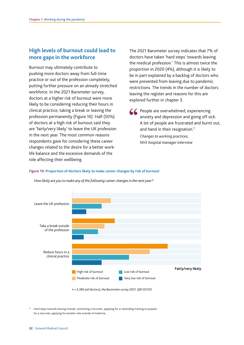## **High levels of burnout could lead to more gaps in the workforce**

Burnout may ultimately contribute to pushing more doctors away from full-time practice or out of the profession completely, putting further pressure on an already stretched workforce. In the 2021 Barometer survey, doctors at a higher risk of burnout were more likely to be considering reducing their hours in clinical practice, taking a break or leaving the  $\leq$  People are overwhelmed, experiencing profession permanently (Figure 10). Half (50%) anxiety and depression and going off sick. of doctors at a high risk of burnout said they A lot of people are frustrated and burnt out, are 'fairly/very likely' to leave the UK profession and hand in their resignation." in the next year. The most common reasons *Changes to working practices,*  respondents gave for considering these career *NHS hospital manager interview*  changes related to the desire for a better worklife balance and the excessive demands of the role affecting their wellbeing.

The 2021 Barometer survey indicates that 7% of doctors have taken 'hard steps' towards leaving the medical profession.\* This is almost twice the proportion in 2020 (4%), although it is likely to be in part explained by a backlog of doctors who were prevented from leaving due to pandemic restrictions. The trends in the number of doctors leaving the register and reasons for this are explored further in chapter 3.

#### **Figure 10: Proportion of doctors likely to make career changes by risk of burnout**



*How likely are you to make any of the following career changes in the next year?* 

*n* = 3,386 (all doctors), the Barometer survey 2021, QB1/D1/D2

\* Hard steps towards leaving include: contacting a recruiter; applying for or attending training to prepare for a new role; applying for another role outside of medicine.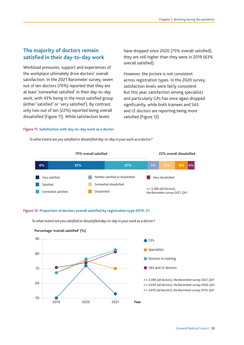## **The majority of doctors remain satisfed in their day-to-day work**

Workload pressures, support and experiences of the workplace ultimately drive doctors' overall satisfaction. In the 2021 Barometer survey, seven out of ten doctors (70%) reported that they are at least 'somewhat satisfied' in their day-to-day work, with 43% being in the most satisfed group (either 'satisfed' or 'very satisfed'). By contrast, only two out of ten (22%) reported being overall dissatisfed (Figure 11). While satisfaction levels

have dropped since 2020 (75% overall satisfied), they are still higher than they were in 2019 (63% overall satisfied).

However, the picture is not consistent across registration types. In the 2020 survey, satisfaction levels were fairly consistent. But this year, satisfaction among specialists and particularly GPs has once again dropped significantly, while both trainees and SAS and LE doctors are reporting being more satisfied (Figure 12).

#### **Figure 11: Satisfaction with day-to-day work as a doctor**



*To what extent are you satisfed or dissatisfed day-to-day in your work as a doctor?* 

#### **Figure 12: Proportion of doctors overall satisfed by registration type 2019–21**



*To what extent are you satisfed or dissatisfed day-to-day in your work as a doctor?*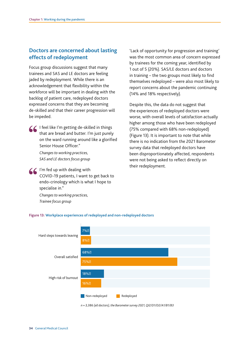## **Doctors are concerned about lasting effects of redeployment**

Focus group discussions suggest that many trainees and SAS and LE doctors are feeling jaded by redeployment. While there is an acknowledgement that flexibility within the workforce will be important in dealing with the backlog of patient care, redeployed doctors expressed concerns that they are becoming de-skilled and that their career progression will be impeded.

I feel like I'm getting de-skilled in things that are bread and butter. I'm just purely on the ward running around like a glorifed Senior House Officer."

> *Changes to working practices, SAS and LE doctors focus group*

 $\leq$  I'm fed up with dealing with COVID-19 patients, I want to get back to endo-crinology which is what I hope to specialise in."

> *Changes to working practices, Trainee focus group*

'Lack of opportunity for progression and training' was the most common area of concern expressed by trainees for the coming year, identified by 1 out of 5 (20%). SAS/LE doctors and doctors in training  $-$  the two groups most likely to find themselves redeployed – were also most likely to report concerns about the pandemic continuing (14% and 18% respectively).

Despite this, the data do not suggest that the experiences of redeployed doctors were worse, with overall levels of satisfaction actually higher among those who have been redeployed (75% compared with 68% non-redeployed) (Figure 13). It is important to note that while there is no indication from the 2021 Barometer survey data that redeployed doctors have been disproportionately affected, respondents were not being asked to reflect directly on their redeployment.



#### **Figure 13: Workplace experiences of redeployed and non-redeployed doctors**

*n = 3,386 (all doctors), the Barometer survey 0 1, QI /D1/D /A1/B1/B3*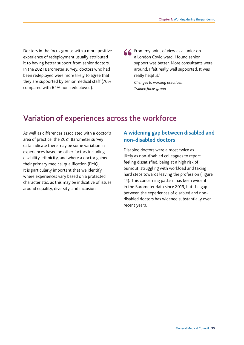Doctors in the focus groups with a more positive experience of redeployment usually attributed it to having better support from senior doctors. In the 2021 Barometer survey, doctors who had been redeployed were more likely to agree that they are supported by senior medical staff (70% compared with 64% non-redeployed).

**From my point of view as a junior on** a London Covid ward, I found senior support was better. More consultants were around. I felt really well supported. It was really helpful."

> *Changes to working practices, Trainee focus group*

## Variation of experiences across the workforce

As well as differences associated with a doctor's area of practice, the 2021 Barometer survey data indicate there may be some variation in experiences based on other factors including disability, ethnicity, and where a doctor gained their primary medical qualification (PMQ). It is particularly important that we identify where experiences vary based on a protected characteristic, as this may be indicative of issues around equality, diversity, and inclusion.

## **A widening gap between disabled and non-disabled doctors**

Disabled doctors were almost twice as likely as non-disabled colleagues to report feeling dissatisfied, being at a high risk of burnout, struggling with workload and taking hard steps towards leaving the profession (Figure 14). This concerning pattern has been evident in the Barometer data since 2019, but the gap between the experiences of disabled and nondisabled doctors has widened substantially over recent years.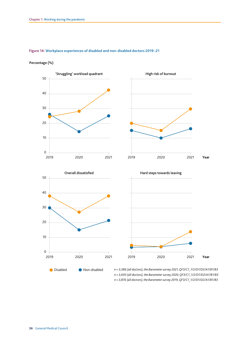#### **Figure 14: Workplace experiences of disabled and non-disabled doctors 2019–21**

#### **Percentage (%)**



● Non-disabled *n* = 3,386 (all doctors), the Barometer survey 2021, QF3/C1\_1/2/D1/D2/A1/B1/B3 *n = 3,693 (all doctors), the Barometer survey 0 0, QF3/C1\_1/ /D1/D /A1/B1/B3 n = 3,876 (all doctors), the Barometer survey 019, QF3/C1\_1/ /D1/D /A1/B1/B3*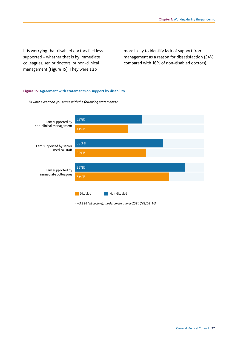It is worrying that disabled doctors feel less more likely to identify lack of support from management (Figure 15). They were also

supported – whether that is by immediate management as a reason for dissatisfaction (24% colleagues, senior doctors, or non-clinical compared with 16% of non-disabled doctors).

#### **Figure 15: Agreement with statements on support by disability**

*To what extent do you agree with the following statements?* 

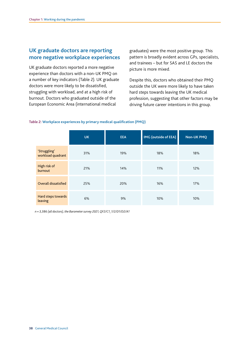## **UK graduate doctors are reporting more negative workplace experiences**

UK graduate doctors reported a more negative experience than doctors with a non-UK PMQ on a number of key indicators (Table 2). UK graduate doctors were more likely to be dissatisfied, struggling with workload, and at a high risk of burnout. Doctors who graduated outside of the European Economic Area (international medical

 picture is more mixed. graduates) were the most positive group. This pattern is broadly evident across GPs, specialists, and trainees – but for SAS and LE doctors the

Despite this, doctors who obtained their PMQ outside the UK were more likely to have taken hard steps towards leaving the UK medical profession, suggesting that other factors may be driving future career intentions in this group.

#### Table 2: Workplace experiences by primary medical qualification (PMQ)

|                                   | <b>UK</b> | <b>EEA</b> | IMG (outside of EEA) | <b>Non-UK PMQ</b> |
|-----------------------------------|-----------|------------|----------------------|-------------------|
| 'Struggling'<br>workload quadrant | 31%       | 19%        | 18%                  | 18%               |
| High risk of<br>burnout           | 21%       | 14%        | 11%                  | 12%               |
| Overall dissatisfied              | 25%       | 20%        | 16%                  | 17%               |
| Hard steps towards<br>leaving     | 6%        | 9%         | 10%                  | 10%               |

*n = 3,386 (all doctors), the Barometer survey 2021, QF2/C1\_1/2/D1/D2/A1*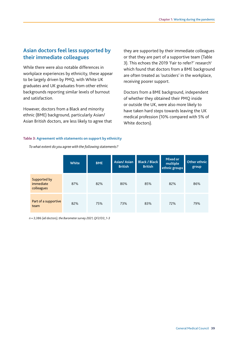## **Asian doctors feel less supported by their immediate colleagues**

and satisfaction While there were also notable differences in workplace experiences by ethnicity, these appear to be largely driven by PMQ, with White UK graduates and UK graduates from other ethnic backgrounds reporting similar levels of burnout

However, doctors from a Black and minority ethnic (BME) background, particularly Asian/ Asian British doctors, are less likely to agree that they are supported by their immediate colleagues or that they are part of a supportive team (Table 3). This echoes the 2019 'Fair to refer?' research<sup>1</sup> which found that doctors from a BME background are often treated as 'outsiders' in the workplace, receiving poorer support.

Doctors from a BME background, independent of whether they obtained their PMQ inside or outside the UK, were also more likely to have taken hard steps towards leaving the UK medical profession (10% compared with 5% of White doctors).

#### **Table 3: Agreement with statements on support by ethnicity**

**White BME Asian/ Asian British Black / Black British Mixed or multiple ethnic groups Other ethnic**  Supported by immediate colleagues 87% 82% 80% 85% 82% 86% Part of a supportive

team 82% 75% 73% 83% 72% 79%

*To what extent do you agree with the following statements?* 

*n = 3,386 (all doctors), the Barometer survey 2021, QF2/D3\_1-3* 

**group**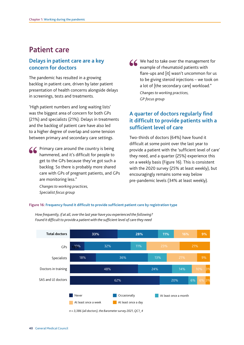## Patient care

## **Delays in patient care are a key concern for doctors**

The pandemic has resulted in a growing backlog in patient care, driven by later patient presentation of health concerns alongside delays in screenings, tests and treatments.

'High patient numbers and long waiting lists' was the biggest area of concern for both GPs (21%) and specialists (21%). Delays in treatments and the backlog of patient care have also led to a higher degree of overlap and some tension between primary and secondary care settings.

Primary care around the country is being hammered, and it's difficult for people to get to the GPs because they've got such a backlog. So there is probably more shared care with GPs of pregnant patients, and GPs are monitoring less."

> *Changes to working practices, Specialist focus group*

KK We had to take over the management for example of rheumatoid patients with flare-ups and [it] wasn't uncommon for us to be giving steroid injections – we took on a lot of [the secondary care] workload." *Changes to working practices, GP focus group* 

## **A quarter of doctors regularly fnd it diffcult to provide patients with a**  sufficient level of care

Two-thirds of doctors (64%) have found it difficult at some point over the last year to provide a patient with the 'sufficient level of care' they need, and a quarter (25%) experience this on a weekly basis (Figure 16). This is consistent with the 2020 survey (25% at least weekly), but encouragingly remains some way below pre-pandemic levels (34% at least weekly).

#### Figure 16: Frequency found it difficult to provide sufficient patient care by registration type



*How frequently, if at all, over the last year have you experienced the following?*  Found it difficult to provide a patient with the sufficient level of care they need

 $n = 3,386$  (all doctors), the Barometer survey 2021, QC1\_4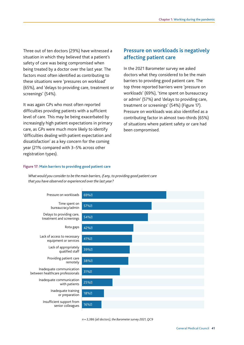Three out of ten doctors (29%) have witnessed a situation in which they believed that a patient's safety of care was being compromised when being treated by a doctor over the last year. The factors most often identifed as contributing to these situations were 'pressures on workload' (65%), and 'delays to providing care, treatment or screenings' (54%).

It was again GPs who most often reported difficulties providing patients with a sufficient level of care. This may be being exacerbated by increasingly high patient expectations in primary care, as GPs were much more likely to identify 'difficulties dealing with patient expectation and dissatisfaction' as a key concern for the coming year (21% compared with 3–5% across other registration types).

## **Pressure on workloads is negatively affecting patient care**

In the 2021 Barometer survey we asked doctors what they considered to be the main barriers to providing good patient care. The top three reported barriers were 'pressure on workloads' (69%), 'time spent on bureaucracy or admin' (57%) and 'delays to providing care, treatment or screenings' (54%) (Figure 17). Pressure on workloads was also identifed as a contributing factor in almost two-thirds (65%) of situations where patient safety or care had been compromised.

#### **Figure 17: Main barriers to providing good patient care**



*What would you consider to be the main barriers, if any, to providing good patient care that you have observed or experienced over the last year?*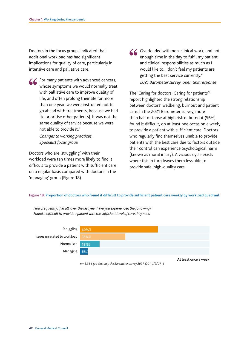Doctors in the focus groups indicated that additional workload has had significant implications for quality of care, particularly in intensive care and palliative care.

For many patients with advanced cancers, whose symptoms we would normally treat with palliative care to improve quality of life, and often prolong their life for more than one year, we were instructed not to go ahead with treatments, because we had [to prioritise other patients]. It was not the same quality of service because we were not able to provide it." *Changes to working practices, Specialist focus group* 

Doctors who are 'struggling' with their workload were ten times more likely to find it difficult to provide a patient with sufficient care on a regular basis compared with doctors in the 'managing' group (Figure 18).

K Overloaded with non-clinical work, and not enough time in the day to fulfil my patient and clinical responsibilities as much as I would like to. I don't feel my patients are getting the best service currently." *2021 Barometer survey, open text response* 

The 'Caring for doctors, Caring for patients'2 report highlighted the strong relationship between doctors' wellbeing, burnout and patient care. In the 2021 Barometer survey, more than half of those at high risk of burnout (56%) found it difficult, on at least one occasion a week, to provide a patient with sufficient care. Doctors who regularly find themselves unable to provide patients with the best care due to factors outside their control can experience psychological harm (known as moral injury). A vicious cycle exists where this in turn leaves them less able to provide safe, high-quality care.

#### Figure 18: Proportion of doctors who found it difficult to provide sufficient patient care weekly by workload quadrant

Struggling Issues unrelated to workload Normalised Managing 60%图 18%2 6%

*How frequently, if at all, over the last year have you experienced the following?*  Found it difficult to provide a patient with the sufficient level of care they need

*n = 3,386 (all doctors), the Barometer survey 0 1, QC1\_1/ /C1\_4* 

**At least once a week**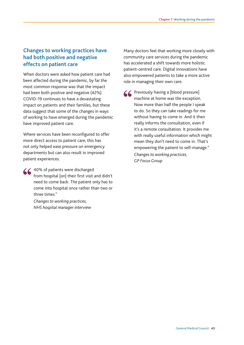## **Changes to working practices have had both positive and negative effects on patient care**

When doctors were asked how patient care had been affected during the pandemic, by far the most common response was that the impact had been both positive and negative (42%). COVID-19 continues to have a devastating impact on patients and their families, but these data suggest that some of the changes in ways of working to have emerged during the pandemic have improved patient care.

Where services have been reconfigured to offer more direct access to patient care, this has not only helped ease pressure on emergency departments but can also result in improved patient experiences.

40% of patients were discharged from hospital [on] their first visit and didn't need to come back. The patient only has to come into hospital once rather than two or three times."

> *Changes to working practices, NHS hospital manager interview*

Many doctors feel that working more closely with community care services during the pandemic has accelerated a shift towards more holistic patient-centred care. Digital innovations have also empowered patients to take a more active role in managing their own care.

**CC** Previously having a [blood pressure] machine at home was the exception. Now more than half the people I speak to do. So they can take readings for me without having to come in. And it then really informs the consultation, even if it's a remote consultation. It provides me with really useful information which might mean they don't need to come in. That's empowering the patient to self-manage." *Changes to working practices, GP Focus Group*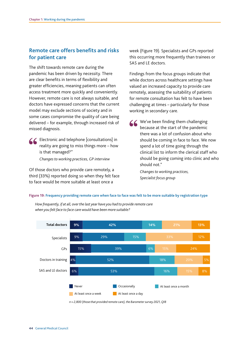## **Remote care offers benefts and risks for patient care**

The shift towards remote care during the pandemic has been driven by necessity. There are clear benefits in terms of flexibility and greater efficiencies, meaning patients can often access treatment more quickly and conveniently. However, remote care is not always suitable, and doctors have expressed concerns that the current model may exclude sections of society and in some cases compromise the quality of care being delivered – for example, through increased risk of missed diagnosis.

Electronic and telephone [consultations] in reality are going to miss things more – how is that managed?"

*Changes to working practices, GP interview* 

Of those doctors who provide care remotely, a third (33%) reported doing so when they felt face to face would be more suitable at least once a

SAS and LE doctors. week (Figure 19). Specialists and GPs reported this occurring more frequently than trainees or

Findings from the focus groups indicate that while doctors across healthcare settings have valued an increased capacity to provide care remotely, assessing the suitability of patients for remote consultation has felt to have been challenging at times – particularly for those working in secondary care.

KK We've been finding them challenging because at the start of the pandemic there was a lot of confusion about who should be coming in face to face. We now spend a lot of time going through the clinical list to inform the clerical staff who should be going coming into clinic and who should not."

*Changes to working practices, Specialist focus group* 

#### **Figure 19: Frequency providing remote care when face to face was felt to be more suitable by registration type**



How frequently, if at all, over the last year have you had to provide remote care when you felt face to face care would have been more suitable?

 $n = 2,800$  (those that provided remote care), the Barometer survey 2021, QI8